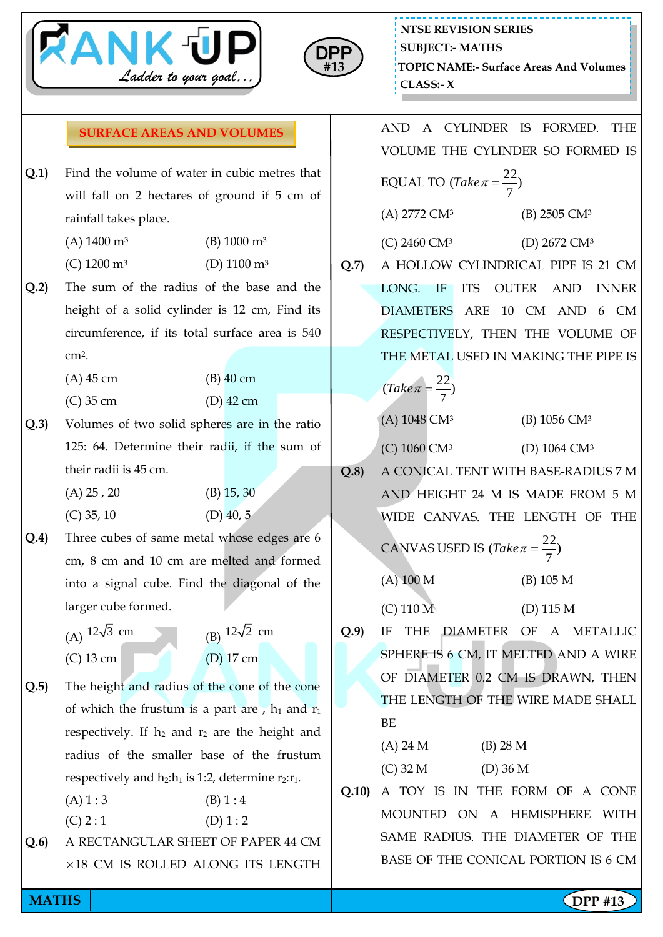



## **SURFACE AREAS AND VOLUMES**

- **Q.1)** Find the volume of water in cubic metres that will fall on 2 hectares of ground if 5 cm of rainfall takes place.
	- (A)  $1400 \text{ m}^3$  (B)  $1000 \text{ m}^3$
	- (C) 1200 m<sup>3</sup> (D) 1100 m<sup>3</sup>
- **Q.2)** The sum of the radius of the base and the height of a solid cylinder is 12 cm, Find its circumference, if its total surface area is 540 cm2.

(A) 45 cm (B) 40 cm

- (C) 35 cm (D) 42 cm
- **Q.3)** Volumes of two solid spheres are in the ratio 125: 64. Determine their radii, if the sum of their radii is 45 cm.
	- (A) 25 , 20 (B) 15, 30  $(C)$  35, 10  $(D)$  40, 5
- **Q.4)** Three cubes of same metal whose edges are 6 cm, 8 cm and 10 cm are melted and formed into a signal cube. Find the diagonal of the larger cube formed.
	- (A)  $12\sqrt{3}$  cm (B)  $12\sqrt{2}$  cm (C) 13 cm (D) 17 cm
- **Q.5)** The height and radius of the cone of the cone of which the frustum is a part are,  $h_1$  and  $r_1$ respectively. If  $h_2$  and  $r_2$  are the height and radius of the smaller base of the frustum respectively and  $h_2:h_1$  is 1:2, determine  $r_2:r_1$ .
	- $(A) 1 : 3$  (B) 1 : 4  $(C) 2 : 1$  (D) 1 : 2
- **Q.6)** A RECTANGULAR SHEET OF PAPER 44 CM 18 CM IS ROLLED ALONG ITS LENGTH

AND A CYLINDER IS FORMED. THE VOLUME THE CYLINDER SO FORMED IS EQUAL TO  $(Take \pi = \frac{22}{7})$ 7  $(Take\pi = \frac{22}{7})$ (A) 2772 CM<sup>3</sup> (B) 2505 CM<sup>3</sup> (C) 2460 CM<sup>3</sup> (D) 2672 CM<sup>3</sup> **Q.7)** A HOLLOW CYLINDRICAL PIPE IS 21 CM LONG. IF ITS OUTER AND INNER DIAMETERS ARE 10 CM AND 6 CM RESPECTIVELY, THEN THE VOLUME OF THE METAL USED IN MAKING THE PIPE IS ) 7  $\sqrt{Take\pi} = \frac{22}{7}$ (A) 1048 CM<sup>3</sup> (B) 1056 CM<sup>3</sup> (C) 1060 CM<sup>3</sup> (D) 1064 CM<sup>3</sup> **Q.8)** A CONICAL TENT WITH BASE-RADIUS 7 M AND HEIGHT 24 M IS MADE FROM 5 M WIDE CANVAS. THE LENGTH OF THE CANVAS USED IS  $(Take \pi = \frac{22}{7})$ 7  $\int$ (*Take* $\pi = \frac{22}{\pi}$ (A) 100 M (B) 105 M (C) 110 M (D) 115 M **Q.9)** IF THE DIAMETER OF A METALLIC SPHERE IS 6 CM, IT MELTED AND A WIRE OF DIAMETER 0.2 CM IS DRAWN, THEN THE LENGTH OF THE WIRE MADE SHALL BE (A) 24 M (B) 28 M (C) 32 M (D) 36 M **Q.10)** A TOY IS IN THE FORM OF A CONE MOUNTED ON A HEMISPHERE WITH SAME RADIUS. THE DIAMETER OF THE

BASE OF THE CONICAL PORTION IS 6 CM

**MATHS** | **Company of the second second second second second second second second second second second second second second second second second second second second second second second second second second second second**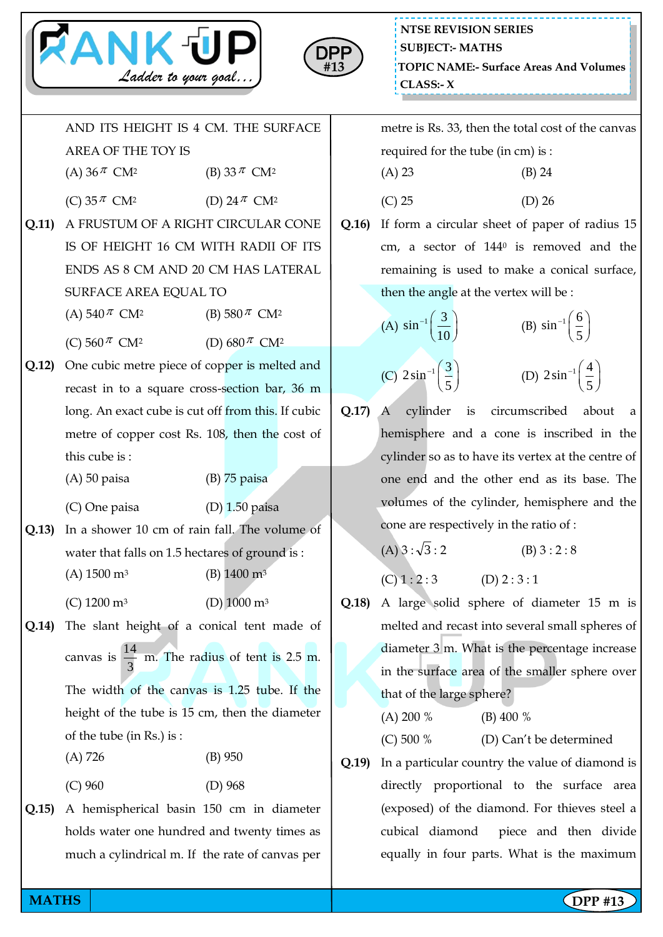



AND ITS HEIGHT IS 4 CM. THE SURFACE AREA OF THE TOY IS (A) 36  $\pi$ CM<sup>2</sup> (B) 33 $\pi$  CM<sup>2</sup> (C) 35  $\pi$ CM<sup>2</sup> (D)  $24 \pi$  CM<sup>2</sup> **Q.11)** A FRUSTUM OF A RIGHT CIRCULAR CONE IS OF HEIGHT 16 CM WITH RADII OF ITS ENDS AS 8 CM AND 20 CM HAS LATERAL SURFACE AREA EQUAL TO (A) 540  $\pi$ CM<sup>2</sup> (B) 580  $\pi$  CM<sup>2</sup> (C) 560  $\pi$ CM<sup>2</sup> (D)  $680^{\frac{\pi}{6}}$  CM<sup>2</sup> **Q.12)** One cubic metre piece of copper is melted and recast in to a square cross-section bar, 36 m long. An exact cube is cut off from this. If cubic metre of copper cost Rs. 108, then the cost of this cube is : (A) 50 paisa (B) 75 paisa (C) One paisa (D) 1.50 paisa **Q.13)** In a shower 10 cm of rain fall. The volume of water that falls on 1.5 hectares of ground is : (A)  $1500 \text{ m}^3$  (B)  $1400 \text{ m}^3$ (C) 1200 m<sup>3</sup> (D) 1000 m<sup>3</sup> **Q.14)** The slant height of a conical tent made of canvas is 3  $\frac{14}{6}$  m. The radius of tent is 2.5 m. The width of the canvas is 1.25 tube. If the height of the tube is 15 cm, then the diameter of the tube (in Rs.) is : (A) 726 (B) 950 (C) 960 (D) 968 **Q.15)** A hemispherical basin 150 cm in diameter holds water one hundred and twenty times as much a cylindrical m. If the rate of canvas per

metre is Rs. 33, then the total cost of the canvas required for the tube (in cm) is : (A) 23 (B) 24  $(C) 25$   $(D) 26$ 

**Q.16)** If form a circular sheet of paper of radius 15 cm, a sector of 144<sup>0</sup> is removed and the remaining is used to make a conical surface, then the angle at the vertex will be :

> (A)  $\sin^{-1} \left( \frac{3}{16} \right)$  $^{-1}\left(\frac{3}{10}\right)$ (B)  $\sin^{-1}\left(\frac{6}{5}\right)$  $^{-1}\left(\frac{6}{5}\right)$

- (C)  $2\sin^{-1}\left(\frac{3}{2}\right)$  $^{-1}\left(\frac{3}{5}\right)$ (D)  $2\sin^{-1}\left(\frac{4}{7}\right)$  $^{-1}\left(\frac{4}{5}\right)$
- **Q.17)** A cylinder is circumscribed about a hemisphere and a cone is inscribed in the cylinder so as to have its vertex at the centre of one end and the other end as its base. The volumes of the cylinder, hemisphere and the cone are respectively in the ratio of :

(A) 
$$
3:\sqrt{3}:2
$$
 (B)  $3:2:8$ 

 $(C) 1 : 2 : 3$   $(D) 2 : 3 : 1$ 

- **Q.18)** A large solid sphere of diameter 15 m is melted and recast into several small spheres of diameter 3 m. What is the percentage increase in the surface area of the smaller sphere over that of the large sphere?
	- (A) 200 % (B) 400 %

(C) 500 % (D) Can't be determined

**Q.19)** In a particular country the value of diamond is directly proportional to the surface area (exposed) of the diamond. For thieves steel a cubical diamond piece and then divide equally in four parts. What is the maximum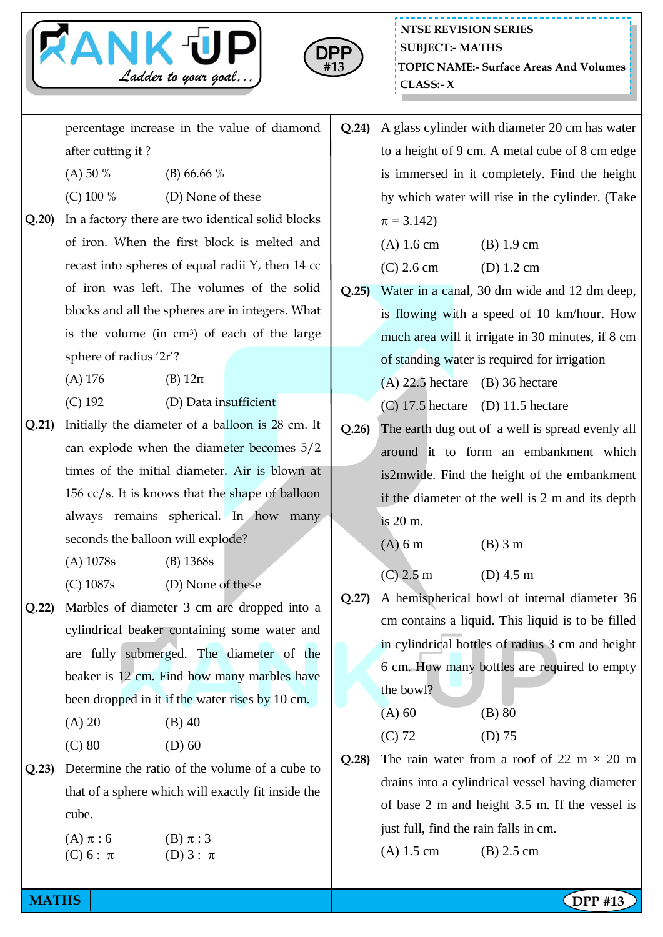



percentage increase in the value of diamond after cutting it ?

- (A) 50 % (B) 66.66 %
- $(C)$  100 % (D) None of these
- **Q.20)** In a factory there are two identical solid blocks of iron. When the first block is melted and recast into spheres of equal radii Y, then 14 cc of iron was left. The volumes of the solid blocks and all the spheres are in integers. What is the volume (in  $cm<sup>3</sup>$ ) of each of the large sphere of radius '2r'?
	- (A)  $176$  (B)  $12\pi$
	- (C) 192 (D) Data insufficient
- **Q.21)** Initially the diameter of a balloon is 28 cm. It can explode when the diameter becomes 5/2 times of the initial diameter. Air is blown at 156 cc/s. It is knows that the shape of balloon always remains spherical. In how many seconds the balloon will explode?
	- (A) 1078s (B) 1368s
	- (C) 1087s (D) None of these
- **Q.22)** Marbles of diameter 3 cm are dropped into a cylindrical beaker containing some water and are fully submerged. The diameter of the beaker is 12 cm. Find how many marbles have been dropped in it if the water rises by 10 cm.

| (A) 20 | $(B)$ 40 |
|--------|----------|
| (C) 80 | $(D)$ 60 |

**Q.23)** Determine the ratio of the volume of a cube to that of a sphere which will exactly fit inside the cube.

| $(A)$ $\pi:6$ | (B) $\pi:3$ |
|---------------|-------------|
| (C) 6 : $\pi$ | (D) 3 : π   |

**Q.24)** A glass cylinder with diameter 20 cm has water to a height of 9 cm. A metal cube of 8 cm edge is immersed in it completely. Find the height by which water will rise in the cylinder. (Take  $\pi = 3.142$ 

| $(A) 1.6$ cm | (B) 1.9 cm           |
|--------------|----------------------|
| $(C)$ 2.6 cm | (D) $1.2 \text{ cm}$ |

- **Q.25)** Water in a canal, 30 dm wide and 12 dm deep, is flowing with a speed of 10 km/hour. How much area will it irrigate in 30 minutes, if 8 cm of standing water is required for irrigation
	- $(A)$  22.5 hectare (B) 36 hectare
	- $(C)$  17.5 hectare (D) 11.5 hectare
- **Q.26)** The earth dug out of a well is spread evenly all around it to form an embankment which is2mwide. Find the height of the embankment if the diameter of the well is 2 m and its depth is 20 m.
	- (A) 6 m (B) 3 m
	- $(C)$  2.5 m  $(D)$  4.5 m
- **Q.27)** A hemispherical bowl of internal diameter 36 cm contains a liquid. This liquid is to be filled in cylindrical bottles of radius 3 cm and height 6 cm. How many bottles are required to empty the bowl?

(A) 60 (B) 80 (C) 72 (D) 75

**Q.28**) The rain water from a roof of 22 m  $\times$  20 m drains into a cylindrical vessel having diameter of base 2 m and height 3.5 m. If the vessel is just full, find the rain falls in cm. (A) 1.5 cm (B) 2.5 cm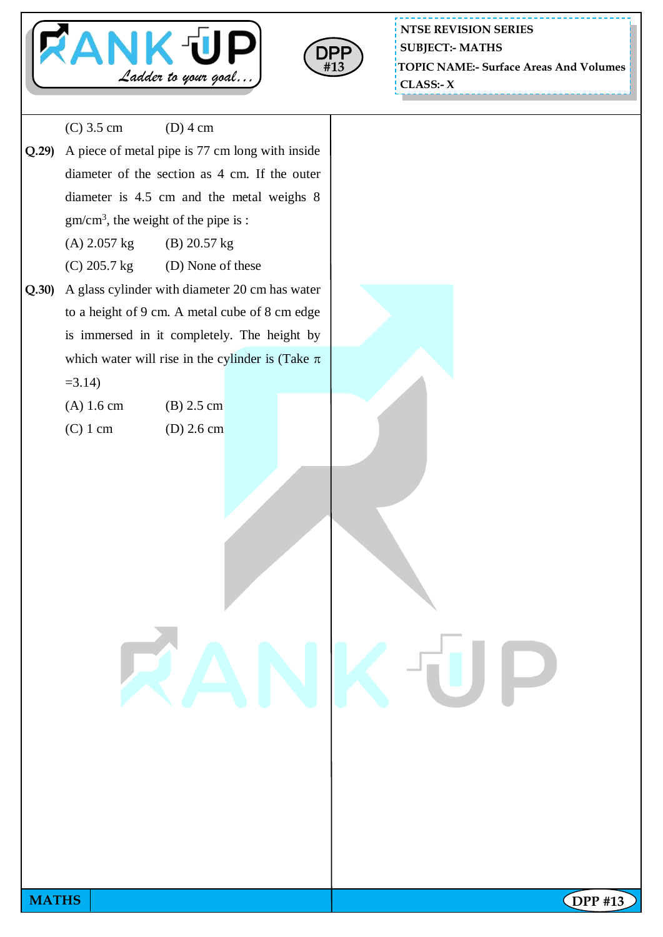



**NTSE REVISION SERIES TOPIC NAME:- Surface Areas And Volumes CLASS:- X SUBJECT:- MATHS**

**MATHS** | **Company of the second second second second second second second second second second second second second second second second second second second second second second second second second second second second** (C) 3.5 cm (D) 4 cm **Q.29)** A piece of metal pipe is 77 cm long with inside diameter of the section as 4 cm. If the outer diameter is 4.5 cm and the metal weighs 8 gm/cm<sup>3</sup> , the weight of the pipe is : (A) 2.057 kg (B) 20.57 kg  $(C)$  205.7 kg (D) None of these **Q.30)** A glass cylinder with diameter 20 cm has water to a height of 9 cm. A metal cube of 8 cm edge is immersed in it completely. The height by which water will rise in the cylinder is (Take  $\pi$ )  $=3.14$ ) (A) 1.6 cm (B) 2.5 cm (C)  $1 \text{ cm}$  (D)  $2.6 \text{ cm}$